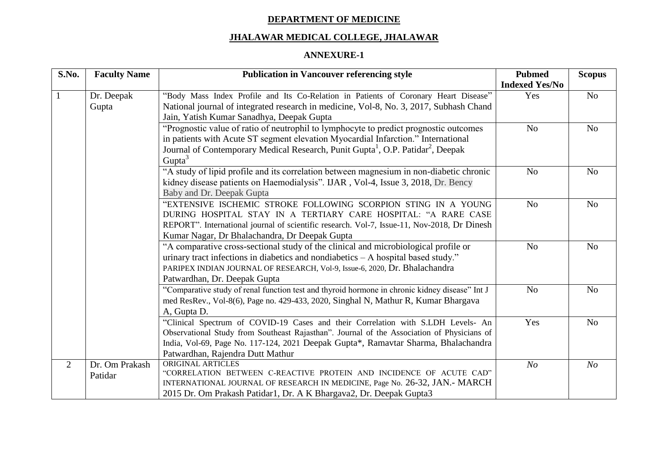## **DEPARTMENT OF MEDICINE**

## **JHALAWAR MEDICAL COLLEGE, JHALAWAR**

## **ANNEXURE-1**

| S.No.          | <b>Faculty Name</b> | <b>Publication in Vancouver referencing style</b>                                                       | <b>Pubmed</b>         | <b>Scopus</b>  |
|----------------|---------------------|---------------------------------------------------------------------------------------------------------|-----------------------|----------------|
|                |                     |                                                                                                         | <b>Indexed Yes/No</b> |                |
|                | Dr. Deepak          | "Body Mass Index Profile and Its Co-Relation in Patients of Coronary Heart Disease"                     | Yes                   | N <sub>o</sub> |
|                | Gupta               | National journal of integrated research in medicine, Vol-8, No. 3, 2017, Subhash Chand                  |                       |                |
|                |                     | Jain, Yatish Kumar Sanadhya, Deepak Gupta                                                               |                       |                |
|                |                     | "Prognostic value of ratio of neutrophil to lymphocyte to predict prognostic outcomes                   | N <sub>o</sub>        | N <sub>o</sub> |
|                |                     | in patients with Acute ST segment elevation Myocardial Infarction." International                       |                       |                |
|                |                     | Journal of Contemporary Medical Research, Punit Gupta <sup>1</sup> , O.P. Patidar <sup>2</sup> , Deepak |                       |                |
|                |                     | Gupta <sup>3</sup>                                                                                      |                       |                |
|                |                     | "A study of lipid profile and its correlation between magnesium in non-diabetic chronic                 | N <sub>o</sub>        | N <sub>o</sub> |
|                |                     | kidney disease patients on Haemodialysis". IJAR, Vol-4, Issue 3, 2018, Dr. Bency                        |                       |                |
|                |                     | Baby and Dr. Deepak Gupta                                                                               |                       |                |
|                |                     | "EXTENSIVE ISCHEMIC STROKE FOLLOWING SCORPION STING IN A YOUNG                                          | N <sub>o</sub>        | N <sub>o</sub> |
|                |                     | DURING HOSPITAL STAY IN A TERTIARY CARE HOSPITAL: "A RARE CASE                                          |                       |                |
|                |                     | REPORT". International journal of scientific research. Vol-7, Issue-11, Nov-2018, Dr Dinesh             |                       |                |
|                |                     | Kumar Nagar, Dr Bhalachandra, Dr Deepak Gupta                                                           |                       |                |
|                |                     | "A comparative cross-sectional study of the clinical and microbiological profile or                     | No                    | N <sub>o</sub> |
|                |                     | urinary tract infections in diabetics and nondiabetics $-A$ hospital based study."                      |                       |                |
|                |                     | PARIPEX INDIAN JOURNAL OF RESEARCH, Vol-9, Issue-6, 2020, Dr. Bhalachandra                              |                       |                |
|                |                     | Patwardhan, Dr. Deepak Gupta                                                                            |                       |                |
|                |                     | "Comparative study of renal function test and thyroid hormone in chronic kidney disease" Int J          | N <sub>o</sub>        | N <sub>o</sub> |
|                |                     | med ResRev., Vol-8(6), Page no. 429-433, 2020, Singhal N, Mathur R, Kumar Bhargava                      |                       |                |
|                |                     | A, Gupta D.                                                                                             |                       |                |
|                |                     | "Clinical Spectrum of COVID-19 Cases and their Correlation with S.LDH Levels- An                        | Yes                   | N <sub>o</sub> |
|                |                     | Observational Study from Southeast Rajasthan". Journal of the Association of Physicians of              |                       |                |
|                |                     | India, Vol-69, Page No. 117-124, 2021 Deepak Gupta*, Ramavtar Sharma, Bhalachandra                      |                       |                |
|                |                     | Patwardhan, Rajendra Dutt Mathur                                                                        |                       |                |
| $\overline{2}$ | Dr. Om Prakash      | ORIGINAL ARTICLES                                                                                       | N <sub>O</sub>        | N <sub>O</sub> |
|                | Patidar             | "CORRELATION BETWEEN C-REACTIVE PROTEIN AND INCIDENCE OF ACUTE CAD"                                     |                       |                |
|                |                     | INTERNATIONAL JOURNAL OF RESEARCH IN MEDICINE, Page No. 26-32, JAN.- MARCH                              |                       |                |
|                |                     | 2015 Dr. Om Prakash Patidar1, Dr. A K Bhargava2, Dr. Deepak Gupta3                                      |                       |                |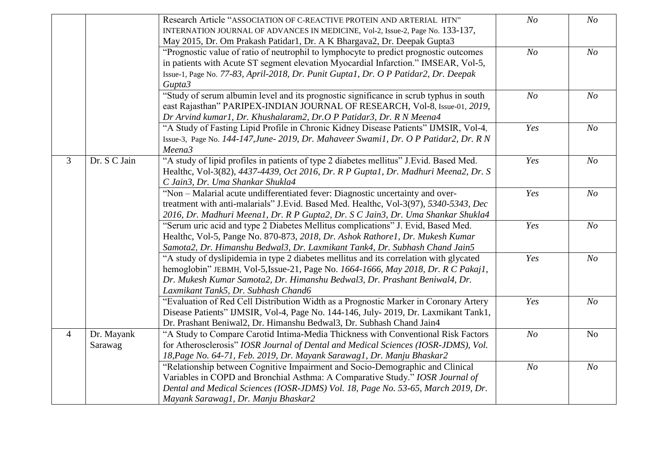|                |              | Research Article "ASSOCIATION OF C-REACTIVE PROTEIN AND ARTERIAL HTN"                  | N <sub>O</sub> | N <sub>O</sub> |
|----------------|--------------|----------------------------------------------------------------------------------------|----------------|----------------|
|                |              | INTERNATION JOURNAL OF ADVANCES IN MEDICINE, Vol-2, Issue-2, Page No. 133-137,         |                |                |
|                |              | May 2015, Dr. Om Prakash Patidar1, Dr. A K Bhargava2, Dr. Deepak Gupta3                |                |                |
|                |              | "Prognostic value of ratio of neutrophil to lymphocyte to predict prognostic outcomes  | N <sub>O</sub> | N <sub>O</sub> |
|                |              | in patients with Acute ST segment elevation Myocardial Infarction." IMSEAR, Vol-5,     |                |                |
|                |              | Issue-1, Page No. 77-83, April-2018, Dr. Punit Gupta1, Dr. O P Patidar2, Dr. Deepak    |                |                |
|                |              | Gupta3                                                                                 |                |                |
|                |              | "Study of serum albumin level and its prognostic significance in scrub typhus in south | N <sub>O</sub> | N <sub>O</sub> |
|                |              | east Rajasthan" PARIPEX-INDIAN JOURNAL OF RESEARCH, Vol-8, Issue-01, 2019,             |                |                |
|                |              | Dr Arvind kumar1, Dr. Khushalaram2, Dr.O P Patidar3, Dr. R N Meena4                    |                |                |
|                |              | "A Study of Fasting Lipid Profile in Chronic Kidney Disease Patients" IJMSIR, Vol-4,   | Yes            | N <sub>O</sub> |
|                |              | Issue-3, Page No. 144-147, June- 2019, Dr. Mahaveer Swamil, Dr. O P Patidar2, Dr. R N  |                |                |
|                |              | Meena3                                                                                 |                |                |
| 3              | Dr. S C Jain | "A study of lipid profiles in patients of type 2 diabetes mellitus" J.Evid. Based Med. | Yes            | N <sub>O</sub> |
|                |              | Healthc, Vol-3(82), 4437-4439, Oct 2016, Dr. R P Gupta1, Dr. Madhuri Meena2, Dr. S     |                |                |
|                |              | C Jain3, Dr. Uma Shankar Shukla4                                                       |                |                |
|                |              | "Non – Malarial acute undifferentiated fever: Diagnostic uncertainty and over-         | Yes            | N <sub>O</sub> |
|                |              | treatment with anti-malarials" J.Evid. Based Med. Healthc, Vol-3(97), 5340-5343, Dec   |                |                |
|                |              | 2016, Dr. Madhuri Meenal, Dr. R P Gupta2, Dr. S C Jain3, Dr. Uma Shankar Shukla4       |                |                |
|                |              | "Serum uric acid and type 2 Diabetes Mellitus complications" J. Evid, Based Med.       | Yes            | N <sub>O</sub> |
|                |              | Healthc, Vol-5, Pange No. 870-873, 2018, Dr. Ashok Rathore1, Dr. Mukesh Kumar          |                |                |
|                |              | Samota2, Dr. Himanshu Bedwal3, Dr. Laxmikant Tank4, Dr. Subhash Chand Jain5            |                |                |
|                |              | "A study of dyslipidemia in type 2 diabetes mellitus and its correlation with glycated | Yes            | N <sub>O</sub> |
|                |              | hemoglobin" JEBMH, Vol-5, Issue-21, Page No. 1664-1666, May 2018, Dr. R C Pakaj1,      |                |                |
|                |              | Dr. Mukesh Kumar Samota2, Dr. Himanshu Bedwal3, Dr. Prashant Beniwal4, Dr.             |                |                |
|                |              | Laxmikant Tank5, Dr. Subhash Chand6                                                    |                |                |
|                |              | "Evaluation of Red Cell Distribution Width as a Prognostic Marker in Coronary Artery   | Yes            | N <sub>O</sub> |
|                |              | Disease Patients" IJMSIR, Vol-4, Page No. 144-146, July-2019, Dr. Laxmikant Tank1,     |                |                |
|                |              | Dr. Prashant Beniwal2, Dr. Himanshu Bedwal3, Dr. Subhash Chand Jain4                   |                |                |
| $\overline{4}$ | Dr. Mayank   | "A Study to Compare Carotid Intima-Media Thickness with Conventional Risk Factors      | N <sub>O</sub> | No             |
|                | Sarawag      | for Atherosclerosis" IOSR Journal of Dental and Medical Sciences (IOSR-JDMS), Vol.     |                |                |
|                |              | 18, Page No. 64-71, Feb. 2019, Dr. Mayank Sarawag1, Dr. Manju Bhaskar2                 |                |                |
|                |              | "Relationship between Cognitive Impairment and Socio-Demographic and Clinical          | N <sub>O</sub> | N <sub>O</sub> |
|                |              | Variables in COPD and Bronchial Asthma: A Comparative Study." IOSR Journal of          |                |                |
|                |              | Dental and Medical Sciences (IOSR-JDMS) Vol. 18, Page No. 53-65, March 2019, Dr.       |                |                |
|                |              | Mayank Sarawag1, Dr. Manju Bhaskar2                                                    |                |                |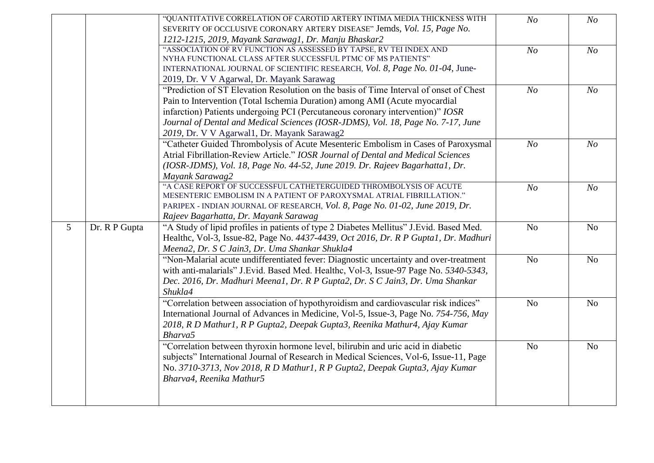|                |               | "QUANTITATIVE CORRELATION OF CAROTID ARTERY INTIMA MEDIA THICKNESS WITH                 | N <sub>O</sub> | N <sub>O</sub> |
|----------------|---------------|-----------------------------------------------------------------------------------------|----------------|----------------|
|                |               | SEVERITY OF OCCLUSIVE CORONARY ARTERY DISEASE" Jemds, Vol. 15, Page No.                 |                |                |
|                |               | 1212-1215, 2019, Mayank Sarawag1, Dr. Manju Bhaskar2                                    |                |                |
|                |               | "ASSOCIATION OF RV FUNCTION AS ASSESSED BY TAPSE, RV TEI INDEX AND                      | N <sub>O</sub> | N <sub>O</sub> |
|                |               | NYHA FUNCTIONAL CLASS AFTER SUCCESSFUL PTMC OF MS PATIENTS"                             |                |                |
|                |               | INTERNATIONAL JOURNAL OF SCIENTIFIC RESEARCH, Vol. 8, Page No. 01-04, June-             |                |                |
|                |               | 2019, Dr. V V Agarwal, Dr. Mayank Sarawag                                               |                |                |
|                |               | "Prediction of ST Elevation Resolution on the basis of Time Interval of onset of Chest  | N <sub>O</sub> | N <sub>O</sub> |
|                |               | Pain to Intervention (Total Ischemia Duration) among AMI (Acute myocardial              |                |                |
|                |               | infarction) Patients undergoing PCI (Percutaneous coronary intervention)" IOSR          |                |                |
|                |               | Journal of Dental and Medical Sciences (IOSR-JDMS), Vol. 18, Page No. 7-17, June        |                |                |
|                |               | 2019, Dr. V V Agarwal1, Dr. Mayank Sarawag2                                             |                |                |
|                |               | "Catheter Guided Thrombolysis of Acute Mesenteric Embolism in Cases of Paroxysmal       | N <sub>O</sub> | N <sub>O</sub> |
|                |               | Atrial Fibrillation-Review Article." IOSR Journal of Dental and Medical Sciences        |                |                |
|                |               | (IOSR-JDMS), Vol. 18, Page No. 44-52, June 2019. Dr. Rajeev Bagarhatta1, Dr.            |                |                |
|                |               | Mayank Sarawag2                                                                         |                |                |
|                |               | "A CASE REPORT OF SUCCESSFUL CATHETERGUIDED THROMBOLYSIS OF ACUTE                       |                |                |
|                |               | MESENTERIC EMBOLISM IN A PATIENT OF PAROXYSMAL ATRIAL FIBRILLATION."                    | N <sub>O</sub> | N <sub>O</sub> |
|                |               | PARIPEX - INDIAN JOURNAL OF RESEARCH, Vol. 8, Page No. 01-02, June 2019, Dr.            |                |                |
|                |               | Rajeev Bagarhatta, Dr. Mayank Sarawag                                                   |                |                |
| $\overline{5}$ | Dr. R P Gupta | "A Study of lipid profiles in patients of type 2 Diabetes Mellitus" J. Evid. Based Med. | N <sub>o</sub> | N <sub>o</sub> |
|                |               | Healthc, Vol-3, Issue-82, Page No. 4437-4439, Oct 2016, Dr. R P Gupta1, Dr. Madhuri     |                |                |
|                |               | Meena2, Dr. S C Jain3, Dr. Uma Shankar Shukla4                                          |                |                |
|                |               |                                                                                         |                |                |
|                |               |                                                                                         |                |                |
|                |               | "Non-Malarial acute undifferentiated fever: Diagnostic uncertainty and over-treatment   | N <sub>o</sub> | N <sub>o</sub> |
|                |               | with anti-malarials" J.Evid. Based Med. Healthc, Vol-3, Issue-97 Page No. 5340-5343,    |                |                |
|                |               | Dec. 2016, Dr. Madhuri Meenal, Dr. R P Gupta2, Dr. S C Jain3, Dr. Uma Shankar           |                |                |
|                |               | Shukla4                                                                                 |                |                |
|                |               | "Correlation between association of hypothyroidism and cardiovascular risk indices"     | N <sub>o</sub> | N <sub>0</sub> |
|                |               | International Journal of Advances in Medicine, Vol-5, Issue-3, Page No. 754-756, May    |                |                |
|                |               | 2018, R D Mathur1, R P Gupta2, Deepak Gupta3, Reenika Mathur4, Ajay Kumar               |                |                |
|                |               | Bharva5                                                                                 |                |                |
|                |               | "Correlation between thyroxin hormone level, bilirubin and uric acid in diabetic        | N <sub>o</sub> | N <sub>o</sub> |
|                |               | subjects" International Journal of Research in Medical Sciences, Vol-6, Issue-11, Page  |                |                |
|                |               | No. 3710-3713, Nov 2018, R D Mathur1, R P Gupta2, Deepak Gupta3, Ajay Kumar             |                |                |
|                |               | Bharva4, Reenika Mathur5                                                                |                |                |
|                |               |                                                                                         |                |                |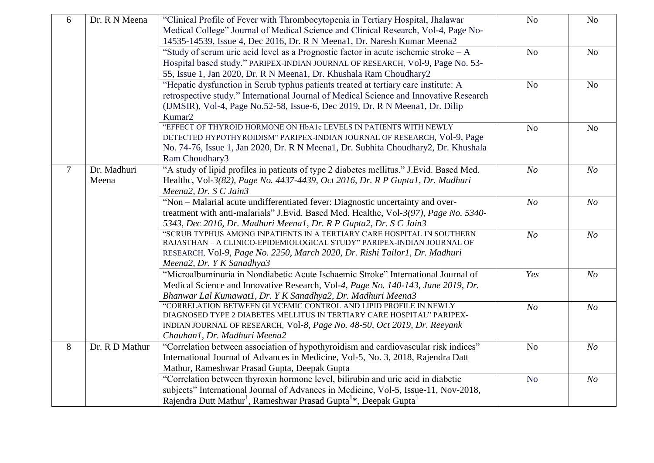| 6              | Dr. R N Meena  | "Clinical Profile of Fever with Thrombocytopenia in Tertiary Hospital, Jhalawar                      | N <sub>o</sub> | No             |
|----------------|----------------|------------------------------------------------------------------------------------------------------|----------------|----------------|
|                |                | Medical College" Journal of Medical Science and Clinical Research, Vol-4, Page No-                   |                |                |
|                |                | 14535-14539, Issue 4, Dec 2016, Dr. R N Meena1, Dr. Naresh Kumar Meena2                              |                |                |
|                |                | "Study of serum uric acid level as a Prognostic factor in acute ischemic stroke $-A$                 | N <sub>o</sub> | No             |
|                |                | Hospital based study." PARIPEX-INDIAN JOURNAL OF RESEARCH, Vol-9, Page No. 53-                       |                |                |
|                |                | 55, Issue 1, Jan 2020, Dr. R N Meena1, Dr. Khushala Ram Choudhary2                                   |                |                |
|                |                | "Hepatic dysfunction in Scrub typhus patients treated at tertiary care institute: A                  | N <sub>o</sub> | N <sub>o</sub> |
|                |                | retrospective study." International Journal of Medical Science and Innovative Research               |                |                |
|                |                | (IJMSIR), Vol-4, Page No.52-58, Issue-6, Dec 2019, Dr. R N Meena1, Dr. Dilip                         |                |                |
|                |                | Kumar2                                                                                               |                |                |
|                |                | "EFFECT OF THYROID HORMONE ON HbA1c LEVELS IN PATIENTS WITH NEWLY                                    | N <sub>o</sub> | N <sub>o</sub> |
|                |                | DETECTED HYPOTHYROIDISM" PARIPEX-INDIAN JOURNAL OF RESEARCH, Vol-9, Page                             |                |                |
|                |                | No. 74-76, Issue 1, Jan 2020, Dr. R N Meena1, Dr. Subhita Choudhary2, Dr. Khushala                   |                |                |
|                |                | Ram Choudhary3                                                                                       |                |                |
| $\overline{7}$ | Dr. Madhuri    | "A study of lipid profiles in patients of type 2 diabetes mellitus." J.Evid. Based Med.              | N <sub>O</sub> | N <sub>O</sub> |
|                | Meena          | Healthc, Vol-3(82), Page No. 4437-4439, Oct 2016, Dr. R P Guptal, Dr. Madhuri                        |                |                |
|                |                | Meena2, Dr. S C Jain3                                                                                |                |                |
|                |                | "Non - Malarial acute undifferentiated fever: Diagnostic uncertainty and over-                       | N <sub>O</sub> | N o            |
|                |                | treatment with anti-malarials" J.Evid. Based Med. Healthc, Vol-3(97), Page No. 5340-                 |                |                |
|                |                | 5343, Dec 2016, Dr. Madhuri Meenal, Dr. R P Gupta2, Dr. S C Jain3                                    |                |                |
|                |                | "SCRUB TYPHUS AMONG INPATIENTS IN A TERTIARY CARE HOSPITAL IN SOUTHERN                               | N <sub>O</sub> | N o            |
|                |                | RAJASTHAN - A CLINICO-EPIDEMIOLOGICAL STUDY" PARIPEX-INDIAN JOURNAL OF                               |                |                |
|                |                | RESEARCH, Vol-9, Page No. 2250, March 2020, Dr. Rishi Tailor1, Dr. Madhuri                           |                |                |
|                |                | Meena2, Dr. Y K Sanadhya3                                                                            |                |                |
|                |                | "Microalbuminuria in Nondiabetic Acute Ischaemic Stroke" International Journal of                    | Yes            | N <sub>O</sub> |
|                |                | Medical Science and Innovative Research, Vol-4, Page No. 140-143, June 2019, Dr.                     |                |                |
|                |                | Bhanwar Lal Kumawat1, Dr. Y K Sanadhya2, Dr. Madhuri Meena3                                          |                |                |
|                |                | "CORRELATION BETWEEN GLYCEMIC CONTROL AND LIPID PROFILE IN NEWLY                                     | N <sub>O</sub> | N o            |
|                |                | DIAGNOSED TYPE 2 DIABETES MELLITUS IN TERTIARY CARE HOSPITAL" PARIPEX-                               |                |                |
|                |                | INDIAN JOURNAL OF RESEARCH, Vol-8, Page No. 48-50, Oct 2019, Dr. Reeyank                             |                |                |
|                |                | Chauhan1, Dr. Madhuri Meena2                                                                         |                |                |
| 8              | Dr. R D Mathur | "Correlation between association of hypothyroidism and cardiovascular risk indices"                  | N <sub>o</sub> | N o            |
|                |                | International Journal of Advances in Medicine, Vol-5, No. 3, 2018, Rajendra Datt                     |                |                |
|                |                | Mathur, Rameshwar Prasad Gupta, Deepak Gupta                                                         |                |                |
|                |                | "Correlation between thyroxin hormone level, bilirubin and uric acid in diabetic                     | N <sub>o</sub> | N o            |
|                |                | subjects" International Journal of Advances in Medicine, Vol-5, Issue-11, Nov-2018,                  |                |                |
|                |                | Rajendra Dutt Mathur <sup>1</sup> , Rameshwar Prasad Gupta <sup>1</sup> *, Deepak Gupta <sup>1</sup> |                |                |